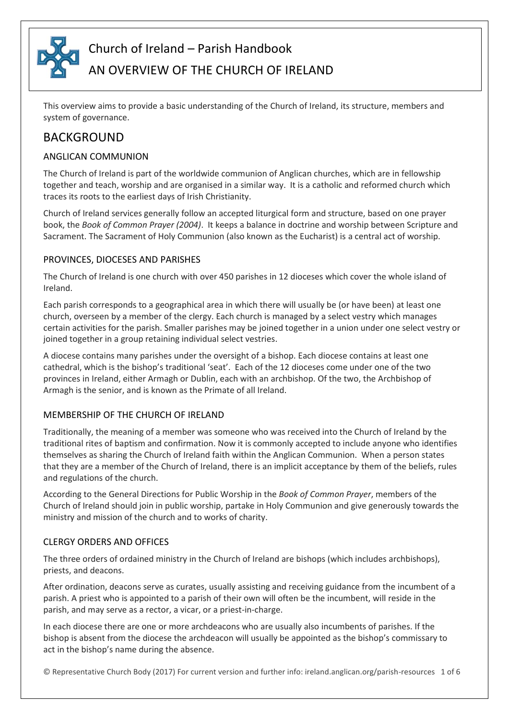

# Church of Ireland – Parish Handbook

# AN OVERVIEW OF THE CHURCH OF IRELAND

This overview aims to provide a basic understanding of the Church of Ireland, its structure, members and system of governance.

# BACKGROUND

## ANGLICAN COMMUNION

The Church of Ireland is part of the worldwide communion of Anglican churches, which are in fellowship together and teach, worship and are organised in a similar way. It is a catholic and reformed church which traces its roots to the earliest days of Irish Christianity.

Church of Ireland services generally follow an accepted liturgical form and structure, based on one prayer book, the *Book of Common Prayer (2004)*. It keeps a balance in doctrine and worship between Scripture and Sacrament. The Sacrament of Holy Communion (also known as the Eucharist) is a central act of worship.

## PROVINCES, DIOCESES AND PARISHES

The Church of Ireland is one church with over 450 parishes in 12 dioceses which cover the whole island of Ireland.

Each parish corresponds to a geographical area in which there will usually be (or have been) at least one church, overseen by a member of the clergy. Each church is managed by a select vestry which manages certain activities for the parish. Smaller parishes may be joined together in a union under one select vestry or joined together in a group retaining individual select vestries.

A diocese contains many parishes under the oversight of a bishop. Each diocese contains at least one cathedral, which is the bishop's traditional 'seat'. Each of the 12 dioceses come under one of the two provinces in Ireland, either Armagh or Dublin, each with an archbishop. Of the two, the Archbishop of Armagh is the senior, and is known as the Primate of all Ireland.

# MEMBERSHIP OF THE CHURCH OF IRELAND

Traditionally, the meaning of a member was someone who was received into the Church of Ireland by the traditional rites of baptism and confirmation. Now it is commonly accepted to include anyone who identifies themselves as sharing the Church of Ireland faith within the Anglican Communion. When a person states that they are a member of the Church of Ireland, there is an implicit acceptance by them of the beliefs, rules and regulations of the church.

According to the General Directions for Public Worship in the *Book of Common Prayer*, members of the Church of Ireland should join in public worship, partake in Holy Communion and give generously towards the ministry and mission of the church and to works of charity.

# CLERGY ORDERS AND OFFICES

The three orders of ordained ministry in the Church of Ireland are bishops (which includes archbishops), priests, and deacons.

After ordination, deacons serve as curates, usually assisting and receiving guidance from the incumbent of a parish. A priest who is appointed to a parish of their own will often be the incumbent, will reside in the parish, and may serve as a rector, a vicar, or a priest-in-charge.

In each diocese there are one or more archdeacons who are usually also incumbents of parishes. If the bishop is absent from the diocese the archdeacon will usually be appointed as the bishop's commissary to act in the bishop's name during the absence.

© Representative Church Body (2017) For current version and further info: ireland.anglican.org/parish-resources 1 of 6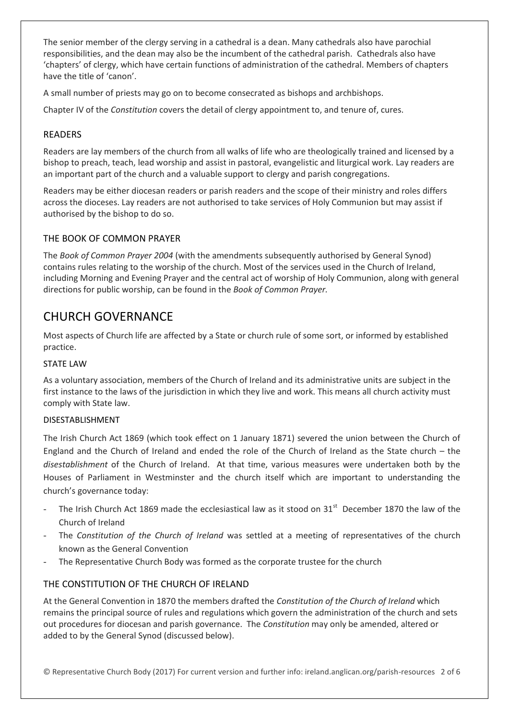The senior member of the clergy serving in a cathedral is a dean. Many cathedrals also have parochial responsibilities, and the dean may also be the incumbent of the cathedral parish. Cathedrals also have 'chapters' of clergy, which have certain functions of administration of the cathedral. Members of chapters have the title of 'canon'.

A small number of priests may go on to become consecrated as bishops and archbishops.

Chapter IV of the *Constitution* covers the detail of clergy appointment to, and tenure of, cures.

#### READERS

Readers are lay members of the church from all walks of life who are theologically trained and licensed by a bishop to preach, teach, lead worship and assist in pastoral, evangelistic and liturgical work. Lay readers are an important part of the church and a valuable support to clergy and parish congregations.

Readers may be either diocesan readers or parish readers and the scope of their ministry and roles differs across the dioceses. Lay readers are not authorised to take services of Holy Communion but may assist if authorised by the bishop to do so.

#### THE BOOK OF COMMON PRAYER

The *Book of Common Prayer 2004* (with the amendments subsequently authorised by General Synod) contains rules relating to the worship of the church. Most of the services used in the Church of Ireland, including Morning and Evening Prayer and the central act of worship of Holy Communion, along with general directions for public worship, can be found in the *Book of Common Prayer.*

# CHURCH GOVERNANCE

Most aspects of Church life are affected by a State or church rule of some sort, or informed by established practice.

#### STATE LAW

As a voluntary association, members of the Church of Ireland and its administrative units are subject in the first instance to the laws of the jurisdiction in which they live and work. This means all church activity must comply with State law.

#### DISESTABLISHMENT

The [Irish Church Act 1869](https://en.wikipedia.org/wiki/Irish_Church_Act_1869) (which took effect on 1 January 1871) severed the union between the Church of England and the Church of Ireland and ended the role of the Church of Ireland as the State church – the *disestablishment* of the Church of Ireland. At that time, various measures were undertaken both by the Houses of Parliament in Westminster and the church itself which are important to understanding the church's governance today:

- The Irish Church Act 1869 made the ecclesiastical law as it stood on  $31<sup>st</sup>$  December 1870 the law of the Church of Ireland
- The *Constitution of the Church of Ireland* was settled at a meeting of representatives of the church known as the General Convention
- The Representative Church Body was formed as the corporate trustee for the church

## THE CONSTITUTION OF THE CHURCH OF IRELAND

At the General Convention in 1870 the members drafted the *Constitution of the Church of Ireland* which remains the principal source of rules and regulations which govern the administration of the church and sets out procedures for diocesan and parish governance. The *Constitution* may only be amended, altered or added to by the General Synod (discussed below).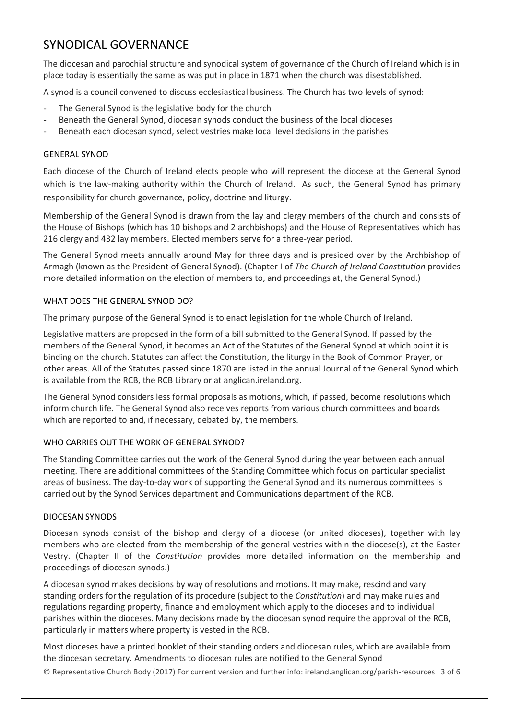# SYNODICAL GOVERNANCE

The diocesan and parochial structure and synodical system of governance of the Church of Ireland which is in place today is essentially the same as was put in place in 1871 when the church was disestablished.

A synod is a council convened to discuss ecclesiastical business. The Church has two levels of synod:

- The General Synod is the legislative body for the church
- Beneath the General Synod, diocesan synods conduct the business of the local dioceses
- Beneath each diocesan synod, select vestries make local level decisions in the parishes

#### GENERAL SYNOD

Each diocese of the Church of Ireland elects people who will represent the diocese at the General Synod which is the law-making authority within the Church of Ireland. As such, the General Synod has primary responsibility for church governance, policy, doctrine and liturgy.

Membership of the General Synod is drawn from the lay and clergy members of the church and consists of the House of Bishops (which has 10 bishops and 2 archbishops) and the House of Representatives which has 216 clergy and 432 lay members. Elected members serve for a three-year period.

The General Synod meets annually around May for three days and is presided over by the Archbishop of Armagh (known as the President of General Synod). (Chapter I of *The Church of Ireland Constitution* provides more detailed information on the election of members to, and proceedings at, the General Synod.)

## WHAT DOES THE GENERAL SYNOD DO?

The primary purpose of the General Synod is to enact legislation for the whole Church of Ireland.

Legislative matters are proposed in the form of a bill submitted to the General Synod. If passed by the members of the General Synod, it becomes an Act of the Statutes of the General Synod at which point it is binding on the church. Statutes can affect the Constitution, the liturgy in the Book of Common Prayer, or other areas. All of the Statutes passed since 1870 are listed in the annual Journal of the General Synod which is available from the RCB, the RCB Library or at anglican.ireland.org.

The General Synod considers less formal proposals as motions, which, if passed, become resolutions which inform church life. The General Synod also receives reports from various church committees and boards which are reported to and, if necessary, debated by, the members.

## WHO CARRIES OUT THE WORK OF GENERAL SYNOD?

The Standing Committee carries out the work of the General Synod during the year between each annual meeting. There are additional committees of the Standing Committee which focus on particular specialist areas of business. The day-to-day work of supporting the General Synod and its numerous committees is carried out by the Synod Services department and Communications department of the RCB.

#### DIOCESAN SYNODS

Diocesan synods consist of the bishop and clergy of a diocese (or united dioceses), together with lay members who are elected from the membership of the general vestries within the diocese(s), at the Easter Vestry. (Chapter II of the *Constitution* provides more detailed information on the membership and proceedings of diocesan synods.)

A diocesan synod makes decisions by way of resolutions and motions. It may make, rescind and vary standing orders for the regulation of its procedure (subject to the *Constitution*) and may make rules and regulations regarding property, finance and employment which apply to the dioceses and to individual parishes within the dioceses. Many decisions made by the diocesan synod require the approval of the RCB, particularly in matters where property is vested in the RCB.

Most dioceses have a printed booklet of their standing orders and diocesan rules, which are available from the diocesan secretary. Amendments to diocesan rules are notified to the General Synod

© Representative Church Body (2017) For current version and further info: ireland.anglican.org/parish-resources 3 of 6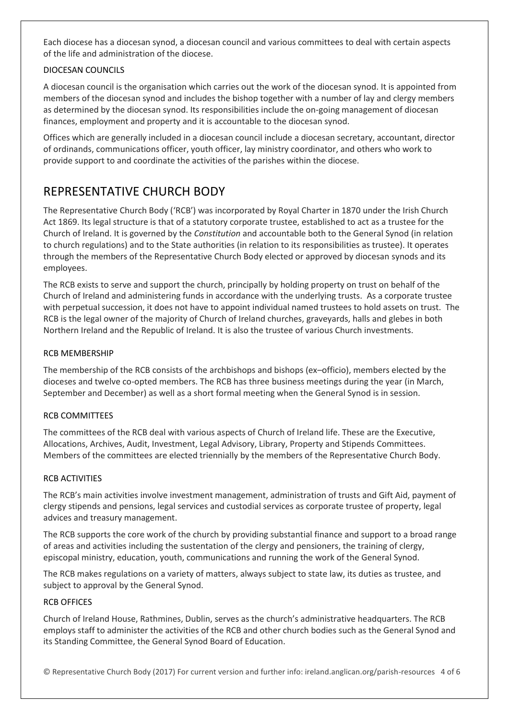Each diocese has a diocesan synod, a diocesan council and various committees to deal with certain aspects of the life and administration of the diocese.

## DIOCESAN COUNCILS

A diocesan council is the organisation which carries out the work of the diocesan synod. It is appointed from members of the diocesan synod and includes the bishop together with a number of lay and clergy members as determined by the diocesan synod. Its responsibilities include the on-going management of diocesan finances, employment and property and it is accountable to the diocesan synod.

Offices which are generally included in a diocesan council include a diocesan secretary, accountant, director of ordinands, communications officer, youth officer, lay ministry coordinator, and others who work to provide support to and coordinate the activities of the parishes within the diocese.

# REPRESENTATIVE CHURCH BODY

The Representative Church Body ('RCB') was incorporated by Royal Charter in 1870 under the Irish Church Act 1869. Its legal structure is that of a statutory corporate trustee, established to act as a trustee for the Church of Ireland. It is governed by the *Constitution* and accountable both to the General Synod (in relation to church regulations) and to the State authorities (in relation to its responsibilities as trustee). It operates through the members of the Representative Church Body elected or approved by diocesan synods and its employees.

The RCB exists to serve and support the church, principally by holding property on trust on behalf of the Church of Ireland and administering funds in accordance with the underlying trusts. As a corporate trustee with perpetual succession, it does not have to appoint individual named trustees to hold assets on trust. The RCB is the legal owner of the majority of Church of Ireland churches, graveyards, halls and glebes in both Northern Ireland and the Republic of Ireland. It is also the trustee of various Church investments.

#### RCB MEMBERSHIP

The membership of the RCB consists of the archbishops and bishops (ex–officio), members elected by the dioceses and twelve co-opted members. The RCB has three business meetings during the year (in March, September and December) as well as a short formal meeting when the General Synod is in session.

#### RCB COMMITTEES

The committees of the RCB deal with various aspects of Church of Ireland life. These are the Executive, Allocations, Archives, Audit, Investment, Legal Advisory, Library, Property and Stipends Committees. Members of the committees are elected triennially by the members of the Representative Church Body.

#### RCB ACTIVITIES

The RCB's main activities involve investment management, administration of trusts and Gift Aid, payment of clergy stipends and pensions, legal services and custodial services as corporate trustee of property, legal advices and treasury management.

The RCB supports the core work of the church by providing substantial finance and support to a broad range of areas and activities including the sustentation of the clergy and pensioners, the training of clergy, episcopal ministry, education, youth, communications and running the work of the General Synod.

The RCB makes regulations on a variety of matters, always subject to state law, its duties as trustee, and subject to approval by the General Synod.

#### RCB OFFICES

Church of Ireland House, Rathmines, Dublin, serves as the church's administrative headquarters. The RCB employs staff to administer the activities of the RCB and other church bodies such as the General Synod and its Standing Committee, the General Synod Board of Education.

© Representative Church Body (2017) For current version and further info: ireland.anglican.org/parish-resources 4 of 6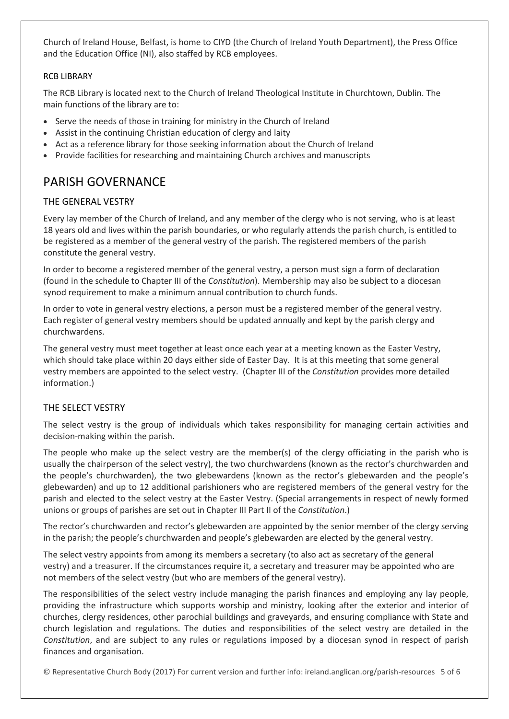Church of Ireland House, Belfast, is home to CIYD (the Church of Ireland Youth Department), the Press Office and the Education Office (NI), also staffed by RCB employees.

#### RCB LIBRARY

The RCB Library is located next to the Church of Ireland Theological Institute in Churchtown, Dublin. The main functions of the library are to:

- Serve the needs of those in training for ministry in the Church of Ireland
- Assist in the continuing Christian education of clergy and laity
- Act as a reference library for those seeking information about the Church of Ireland
- Provide facilities for researching and maintaining Church [archives and manuscripts](http://ireland.anglican.org/index.php?do=about&id=92#archives)

# PARISH GOVERNANCE

## THE GENERAL VESTRY

Every lay member of the Church of Ireland, and any member of the clergy who is not serving, who is at least 18 years old and lives within the parish boundaries, or who regularly attends the parish church, is entitled to be registered as a member of the general vestry of the parish. The registered members of the parish constitute the general vestry.

In order to become a registered member of the general vestry, a person must sign a form of declaration (found in the schedule to Chapter III of the *Constitution*). Membership may also be subject to a diocesan synod requirement to make a minimum annual contribution to church funds.

In order to vote in general vestry elections, a person must be a registered member of the general vestry. Each register of general vestry members should be updated annually and kept by the parish clergy and churchwardens.

The general vestry must meet together at least once each year at a meeting known as the Easter Vestry, which should take place within 20 days either side of Easter Day. It is at this meeting that some general vestry members are appointed to the select vestry. (Chapter III of the *Constitution* provides more detailed information.)

## THE SELECT VESTRY

The select vestry is the group of individuals which takes responsibility for managing certain activities and decision-making within the parish.

The people who make up the select vestry are the member(s) of the clergy officiating in the parish who is usually the chairperson of the select vestry), the two churchwardens (known as the rector's churchwarden and the people's churchwarden), the two glebewardens (known as the rector's glebewarden and the people's glebewarden) and up to 12 additional parishioners who are registered members of the general vestry for the parish and elected to the select vestry at the Easter Vestry. (Special arrangements in respect of newly formed unions or groups of parishes are set out in Chapter III Part II of the *Constitution*.)

The rector's churchwarden and rector's glebewarden are appointed by the senior member of the clergy serving in the parish; the people's churchwarden and people's glebewarden are elected by the general vestry.

The select vestry appoints from among its members a secretary (to also act as secretary of the general vestry) and a treasurer. If the circumstances require it, a secretary and treasurer may be appointed who are not members of the select vestry (but who are members of the general vestry).

The responsibilities of the select vestry include managing the parish finances and employing any lay people, providing the infrastructure which supports worship and ministry, looking after the exterior and interior of churches, clergy residences, other parochial buildings and graveyards, and ensuring compliance with State and church legislation and regulations. The duties and responsibilities of the select vestry are detailed in the *Constitution*, and are subject to any rules or regulations imposed by a diocesan synod in respect of parish finances and organisation.

© Representative Church Body (2017) For current version and further info: ireland.anglican.org/parish-resources 5 of 6